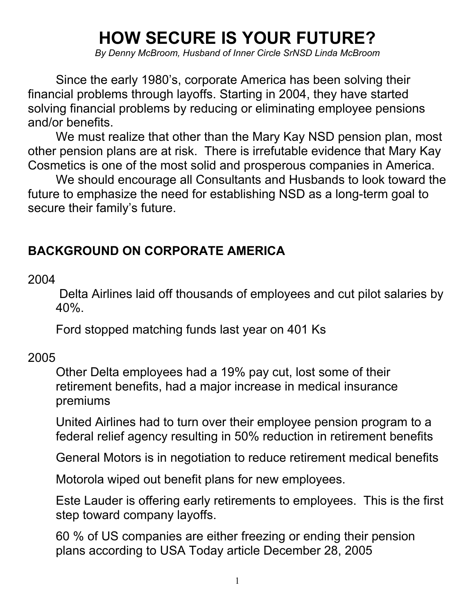## **HOW SECURE IS YOUR FUTURE?**

*By Denny McBroom, Husband of Inner Circle SrNSD Linda McBroom* 

Since the early 1980's, corporate America has been solving their financial problems through layoffs. Starting in 2004, they have started solving financial problems by reducing or eliminating employee pensions and/or benefits.

We must realize that other than the Mary Kay NSD pension plan, most other pension plans are at risk. There is irrefutable evidence that Mary Kay Cosmetics is one of the most solid and prosperous companies in America.

We should encourage all Consultants and Husbands to look toward the future to emphasize the need for establishing NSD as a long-term goal to secure their family's future.

## **BACKGROUND ON CORPORATE AMERICA**

2004

 Delta Airlines laid off thousands of employees and cut pilot salaries by 40%.

Ford stopped matching funds last year on 401 Ks

#### 2005

Other Delta employees had a 19% pay cut, lost some of their retirement benefits, had a major increase in medical insurance premiums

United Airlines had to turn over their employee pension program to a federal relief agency resulting in 50% reduction in retirement benefits

General Motors is in negotiation to reduce retirement medical benefits

Motorola wiped out benefit plans for new employees.

Este Lauder is offering early retirements to employees. This is the first step toward company layoffs.

60 % of US companies are either freezing or ending their pension plans according to USA Today article December 28, 2005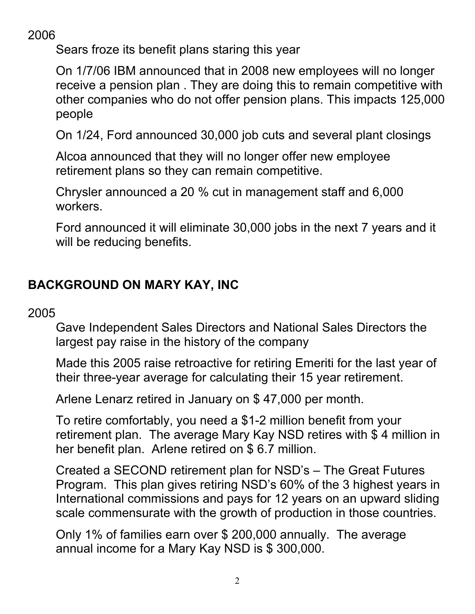## 2006

Sears froze its benefit plans staring this year

On 1/7/06 IBM announced that in 2008 new employees will no longer receive a pension plan . They are doing this to remain competitive with other companies who do not offer pension plans. This impacts 125,000 people

On 1/24, Ford announced 30,000 job cuts and several plant closings

Alcoa announced that they will no longer offer new employee retirement plans so they can remain competitive.

Chrysler announced a 20 % cut in management staff and 6,000 workers.

Ford announced it will eliminate 30,000 jobs in the next 7 years and it will be reducing benefits.

## **BACKGROUND ON MARY KAY, INC**

## 2005

Gave Independent Sales Directors and National Sales Directors the largest pay raise in the history of the company

Made this 2005 raise retroactive for retiring Emeriti for the last year of their three-year average for calculating their 15 year retirement.

Arlene Lenarz retired in January on \$ 47,000 per month.

To retire comfortably, you need a \$1-2 million benefit from your retirement plan. The average Mary Kay NSD retires with \$ 4 million in her benefit plan. Arlene retired on \$ 6.7 million.

Created a SECOND retirement plan for NSD's – The Great Futures Program. This plan gives retiring NSD's 60% of the 3 highest years in International commissions and pays for 12 years on an upward sliding scale commensurate with the growth of production in those countries.

Only 1% of families earn over \$ 200,000 annually. The average annual income for a Mary Kay NSD is \$ 300,000.